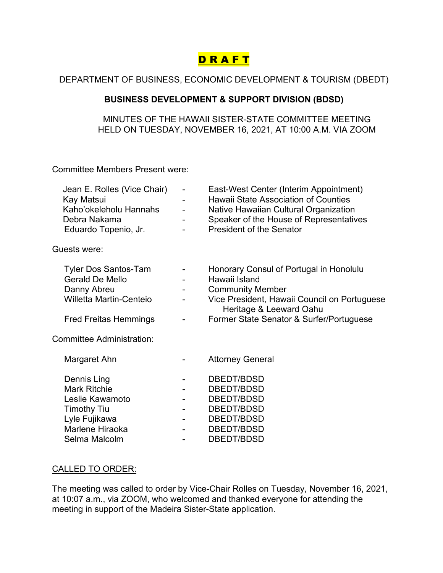# **D R A F T**

## DEPARTMENT OF BUSINESS, ECONOMIC DEVELOPMENT & TOURISM (DBEDT)

## **BUSINESS DEVELOPMENT & SUPPORT DIVISION (BDSD)**

## MINUTES OF THE HAWAII SISTER-STATE COMMITTEE MEETING HELD ON TUESDAY, NOVEMBER 16, 2021, AT 10:00 A.M. VIA ZOOM

Committee Members Present were:

| Honorary Consul of Portugal in Honolulu<br>Hawaii Island<br><b>Community Member</b>                                 |
|---------------------------------------------------------------------------------------------------------------------|
|                                                                                                                     |
| Vice President, Hawaii Council on Portuguese<br>Heritage & Leeward Oahu<br>Former State Senator & Surfer/Portuguese |
| <b>Attorney General</b>                                                                                             |
| DBEDT/BDSD<br>DBEDT/BDSD<br><b>DBEDT/BDSD</b><br><b>DBEDT/BDSD</b><br>DBEDT/BDSD<br>DBEDT/BDSD<br><b>DBEDT/BDSD</b> |
|                                                                                                                     |

## CALLED TO ORDER:

The meeting was called to order by Vice-Chair Rolles on Tuesday, November 16, 2021, at 10:07 a.m., via ZOOM, who welcomed and thanked everyone for attending the meeting in support of the Madeira Sister-State application.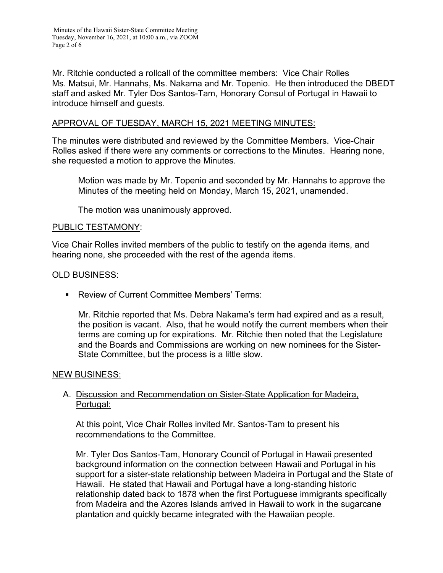Mr. Ritchie conducted a rollcall of the committee members: Vice Chair Rolles Ms. Matsui, Mr. Hannahs, Ms. Nakama and Mr. Topenio. He then introduced the DBEDT staff and asked Mr. Tyler Dos Santos-Tam, Honorary Consul of Portugal in Hawaii to introduce himself and guests.

#### APPROVAL OF TUESDAY, MARCH 15, 2021 MEETING MINUTES:

The minutes were distributed and reviewed by the Committee Members. Vice-Chair Rolles asked if there were any comments or corrections to the Minutes. Hearing none, she requested a motion to approve the Minutes.

Motion was made by Mr. Topenio and seconded by Mr. Hannahs to approve the Minutes of the meeting held on Monday, March 15, 2021, unamended.

The motion was unanimously approved.

#### PUBLIC TESTAMONY:

Vice Chair Rolles invited members of the public to testify on the agenda items, and hearing none, she proceeded with the rest of the agenda items.

#### OLD BUSINESS:

**Review of Current Committee Members' Terms:** 

Mr. Ritchie reported that Ms. Debra Nakama's term had expired and as a result, the position is vacant. Also, that he would notify the current members when their terms are coming up for expirations. Mr. Ritchie then noted that the Legislature and the Boards and Commissions are working on new nominees for the Sister-State Committee, but the process is a little slow.

#### NEW BUSINESS:

## A. Discussion and Recommendation on Sister-State Application for Madeira, Portugal:

At this point, Vice Chair Rolles invited Mr. Santos-Tam to present his recommendations to the Committee.

Mr. Tyler Dos Santos-Tam, Honorary Council of Portugal in Hawaii presented background information on the connection between Hawaii and Portugal in his support for a sister-state relationship between Madeira in Portugal and the State of Hawaii. He stated that Hawaii and Portugal have a long-standing historic relationship dated back to 1878 when the first Portuguese immigrants specifically from Madeira and the Azores Islands arrived in Hawaii to work in the sugarcane plantation and quickly became integrated with the Hawaiian people.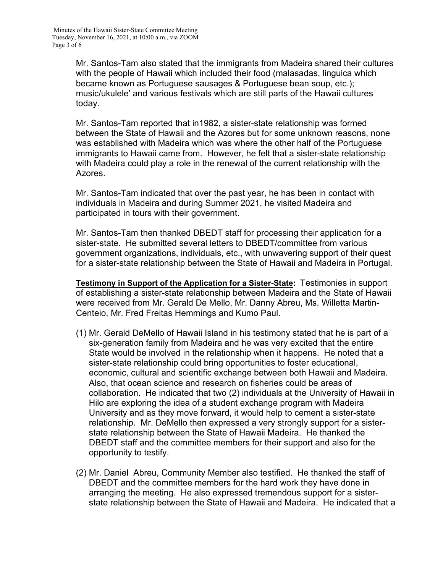Mr. Santos-Tam also stated that the immigrants from Madeira shared their cultures with the people of Hawaii which included their food (malasadas, linguica which became known as Portuguese sausages & Portuguese bean soup, etc.); music/ukulele' and various festivals which are still parts of the Hawaii cultures today.

Mr. Santos-Tam reported that in1982, a sister-state relationship was formed between the State of Hawaii and the Azores but for some unknown reasons, none was established with Madeira which was where the other half of the Portuguese immigrants to Hawaii came from. However, he felt that a sister-state relationship with Madeira could play a role in the renewal of the current relationship with the Azores.

Mr. Santos-Tam indicated that over the past year, he has been in contact with individuals in Madeira and during Summer 2021, he visited Madeira and participated in tours with their government.

Mr. Santos-Tam then thanked DBEDT staff for processing their application for a sister-state. He submitted several letters to DBEDT/committee from various government organizations, individuals, etc., with unwavering support of their quest for a sister-state relationship between the State of Hawaii and Madeira in Portugal.

**Testimony in Support of the Application for a Sister-State:** Testimonies in support of establishing a sister-state relationship between Madeira and the State of Hawaii were received from Mr. Gerald De Mello, Mr. Danny Abreu, Ms. Willetta Martin-Centeio, Mr. Fred Freitas Hemmings and Kumo Paul.

- (1) Mr. Gerald DeMello of Hawaii Island in his testimony stated that he is part of a six-generation family from Madeira and he was very excited that the entire State would be involved in the relationship when it happens. He noted that a sister-state relationship could bring opportunities to foster educational, economic, cultural and scientific exchange between both Hawaii and Madeira. Also, that ocean science and research on fisheries could be areas of collaboration. He indicated that two (2) individuals at the University of Hawaii in Hilo are exploring the idea of a student exchange program with Madeira University and as they move forward, it would help to cement a sister-state relationship. Mr. DeMello then expressed a very strongly support for a sisterstate relationship between the State of Hawaii Madeira. He thanked the DBEDT staff and the committee members for their support and also for the opportunity to testify.
- (2) Mr. Daniel Abreu, Community Member also testified. He thanked the staff of DBEDT and the committee members for the hard work they have done in arranging the meeting. He also expressed tremendous support for a sisterstate relationship between the State of Hawaii and Madeira. He indicated that a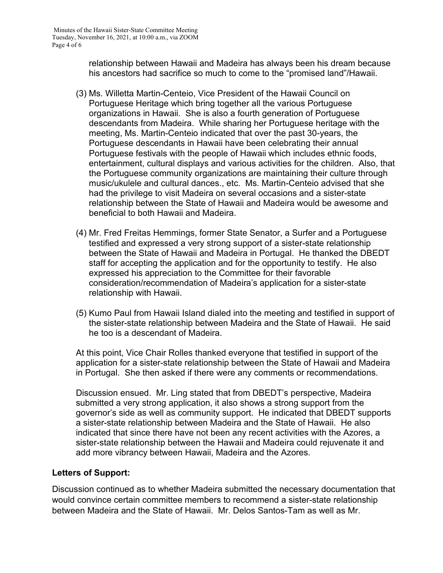relationship between Hawaii and Madeira has always been his dream because his ancestors had sacrifice so much to come to the "promised land"/Hawaii.

- (3) Ms. Willetta Martin-Centeio, Vice President of the Hawaii Council on Portuguese Heritage which bring together all the various Portuguese organizations in Hawaii. She is also a fourth generation of Portuguese descendants from Madeira. While sharing her Portuguese heritage with the meeting, Ms. Martin-Centeio indicated that over the past 30-years, the Portuguese descendants in Hawaii have been celebrating their annual Portuguese festivals with the people of Hawaii which includes ethnic foods, entertainment, cultural displays and various activities for the children. Also, that the Portuguese community organizations are maintaining their culture through music/ukulele and cultural dances., etc. Ms. Martin-Centeio advised that she had the privilege to visit Madeira on several occasions and a sister-state relationship between the State of Hawaii and Madeira would be awesome and beneficial to both Hawaii and Madeira.
- (4) Mr. Fred Freitas Hemmings, former State Senator, a Surfer and a Portuguese testified and expressed a very strong support of a sister-state relationship between the State of Hawaii and Madeira in Portugal. He thanked the DBEDT staff for accepting the application and for the opportunity to testify. He also expressed his appreciation to the Committee for their favorable consideration/recommendation of Madeira's application for a sister-state relationship with Hawaii.
- (5) Kumo Paul from Hawaii Island dialed into the meeting and testified in support of the sister-state relationship between Madeira and the State of Hawaii. He said he too is a descendant of Madeira.

At this point, Vice Chair Rolles thanked everyone that testified in support of the application for a sister-state relationship between the State of Hawaii and Madeira in Portugal. She then asked if there were any comments or recommendations.

Discussion ensued. Mr. Ling stated that from DBEDT's perspective, Madeira submitted a very strong application, it also shows a strong support from the governor's side as well as community support. He indicated that DBEDT supports a sister-state relationship between Madeira and the State of Hawaii. He also indicated that since there have not been any recent activities with the Azores, a sister-state relationship between the Hawaii and Madeira could rejuvenate it and add more vibrancy between Hawaii, Madeira and the Azores.

## **Letters of Support:**

Discussion continued as to whether Madeira submitted the necessary documentation that would convince certain committee members to recommend a sister-state relationship between Madeira and the State of Hawaii. Mr. Delos Santos-Tam as well as Mr.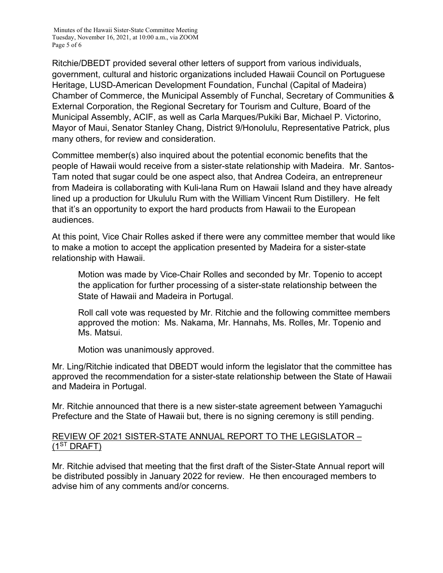Minutes of the Hawaii Sister-State Committee Meeting Tuesday, November 16, 2021, at 10:00 a.m., via ZOOM Page 5 of 6

Ritchie/DBEDT provided several other letters of support from various individuals, government, cultural and historic organizations included Hawaii Council on Portuguese Heritage, LUSD-American Development Foundation, Funchal (Capital of Madeira) Chamber of Commerce, the Municipal Assembly of Funchal, Secretary of Communities & External Corporation, the Regional Secretary for Tourism and Culture, Board of the Municipal Assembly, ACIF, as well as Carla Marques/Pukiki Bar, Michael P. Victorino, Mayor of Maui, Senator Stanley Chang, District 9/Honolulu, Representative Patrick, plus many others, for review and consideration.

Committee member(s) also inquired about the potential economic benefits that the people of Hawaii would receive from a sister-state relationship with Madeira. Mr. Santos-Tam noted that sugar could be one aspect also, that Andrea Codeira, an entrepreneur from Madeira is collaborating with Kuli-lana Rum on Hawaii Island and they have already lined up a production for Ukululu Rum with the William Vincent Rum Distillery. He felt that it's an opportunity to export the hard products from Hawaii to the European audiences.

At this point, Vice Chair Rolles asked if there were any committee member that would like to make a motion to accept the application presented by Madeira for a sister-state relationship with Hawaii.

Motion was made by Vice-Chair Rolles and seconded by Mr. Topenio to accept the application for further processing of a sister-state relationship between the State of Hawaii and Madeira in Portugal.

Roll call vote was requested by Mr. Ritchie and the following committee members approved the motion: Ms. Nakama, Mr. Hannahs, Ms. Rolles, Mr. Topenio and Ms. Matsui.

Motion was unanimously approved.

Mr. Ling/Ritchie indicated that DBEDT would inform the legislator that the committee has approved the recommendation for a sister-state relationship between the State of Hawaii and Madeira in Portugal.

Mr. Ritchie announced that there is a new sister-state agreement between Yamaguchi Prefecture and the State of Hawaii but, there is no signing ceremony is still pending.

## REVIEW OF 2021 SISTER-STATE ANNUAL REPORT TO THE LEGISLATOR –  $(1<sup>ST</sup> DRAFT)$

Mr. Ritchie advised that meeting that the first draft of the Sister-State Annual report will be distributed possibly in January 2022 for review. He then encouraged members to advise him of any comments and/or concerns.